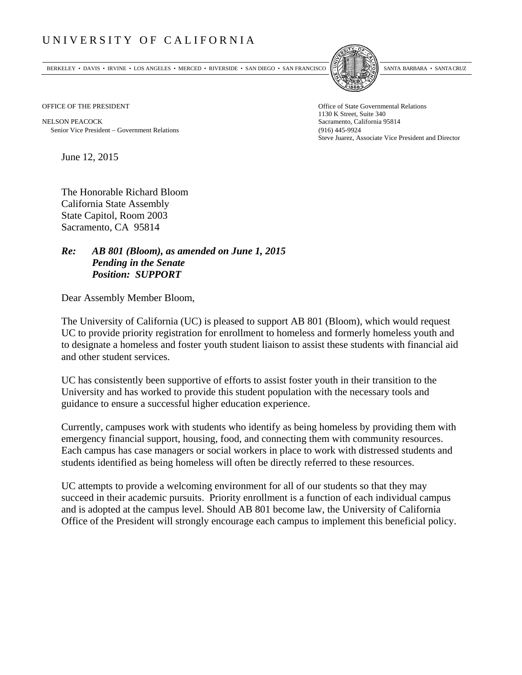## UNIVERSITY OF CALIFORNIA

BERKELEY • DAVIS • IRVINE • LOS ANGELES • MERCED • RIVERSIDE • SAN DIEGO • SAN FRANCISCO SANTA BARBARA • SANTA CRUZ



1130 K Street, Suite 340 Steve Juarez, Associate Vice President and Director

OFFICE OF THE PRESIDENT STATES OF THE PRESIDENT

NELSON PEACOCK Sacramento, California 95814 Senior Vice President Government Relations (916) 445-9924

June 12, 2015

The Honorable Richard Bloom California State Assembly State Capitol, Room 2003 Sacramento, CA 95814

## *Re: AB 801 (Bloom), as amended on June 1, 2015 Pending in the Senate Position: SUPPORT*

Dear Assembly Member Bloom,

The University of California (UC) is pleased to support AB 801 (Bloom), which would request UC to provide priority registration for enrollment to homeless and formerly homeless youth and to designate a homeless and foster youth student liaison to assist these students with financial aid and other student services.

UC has consistently been supportive of efforts to assist foster youth in their transition to the University and has worked to provide this student population with the necessary tools and guidance to ensure a successful higher education experience.

Currently, campuses work with students who identify as being homeless by providing them with emergency financial support, housing, food, and connecting them with community resources. Each campus has case managers or social workers in place to work with distressed students and students identified as being homeless will often be directly referred to these resources.

UC attempts to provide a welcoming environment for all of our students so that they may succeed in their academic pursuits. Priority enrollment is a function of each individual campus and is adopted at the campus level. Should AB 801 become law, the University of California Office of the President will strongly encourage each campus to implement this beneficial policy.